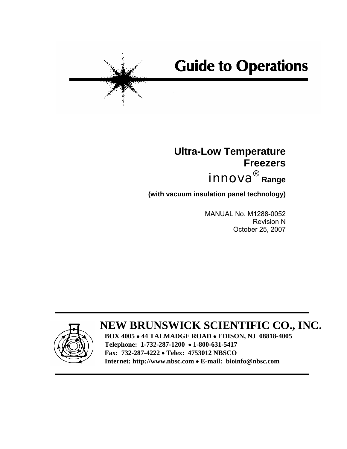# **Guide to Operations**

## **Ultra-Low Temperature Freezers**   $\bm{in}$ nova $^{\circledR}$  Range

**(with vacuum insulation panel technology)** 

 MANUAL No. M1288-0052 Revision N October 25, 2007



**BOX 4005** • **44 TALMADGE ROAD** • **EDISON, NJ 08818-4005 Telephone: 1-732-287-1200** • **1-800-631-5417 Fax: 732-287-4222** • **Telex: 4753012 NBSCO Internet: http://www.nbsc.com** • **E-mail: bioinfo@nbsc.com**

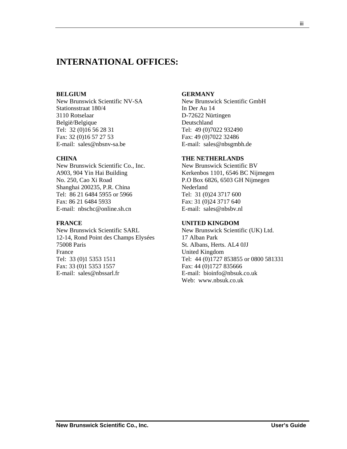## **INTERNATIONAL OFFICES:**

#### **BELGIUM**

New Brunswick Scientific NV-SA Stationsstraat 180/4 3110 Rotselaar België/Belgique Tel: 32 (0)16 56 28 31 Fax: 32 (0)16 57 27 53 E-mail: sales@nbsnv-sa.be

#### **CHINA**

New Brunswick Scientific Co., Inc. A903, 904 Yin Hai Building No. 250, Cao Xi Road Shanghai 200235, P.R. China Tel: 86 21 6484 5955 or 5966 Fax: 86 21 6484 5933 E-mail: nbschc@online.sh.cn

#### **FRANCE**

New Brunswick Scientific SARL 12-14, Rond Point des Champs Elysées 75008 Paris France Tel: 33 (0)1 5353 1511 Fax: 33 (0)1 5353 1557 E-mail: sales@nbssarl.fr

#### **GERMANY**

New Brunswick Scientific GmbH In Der Au 14 D-72622 Nürtingen Deutschland Tel: 49 (0)7022 932490 Fax: 49 (0)7022 32486 E-mail: sales@nbsgmbh.de

#### **THE NETHERLANDS**

New Brunswick Scientific BV Kerkenbos 1101, 6546 BC Nijmegen P.O Box 6826, 6503 GH Nijmegen Nederland Tel: 31 (0)24 3717 600 Fax: 31 (0)24 3717 640 E-mail: sales@nbsbv.nl

#### **UNITED KINGDOM**

New Brunswick Scientific (UK) Ltd. 17 Alban Park St. Albans, Herts. AL4 0JJ United Kingdom Tel: 44 (0)1727 853855 or 0800 581331 Fax: 44 (0)1727 835666 E-mail: bioinfo@nbsuk.co.uk Web: www.nbsuk.co.uk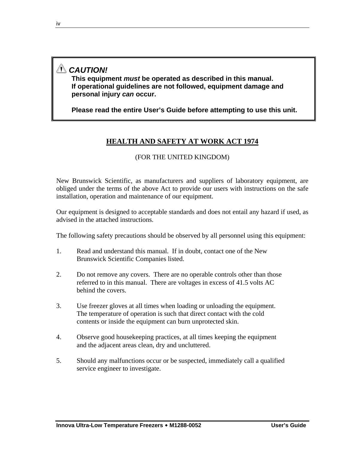## *CAUTION!*

**This equipment** *must* **be operated as described in this manual. If operational guidelines are not followed, equipment damage and personal injury** *can* **occur.** 

**Please read the entire User's Guide before attempting to use this unit.** 

### **HEALTH AND SAFETY AT WORK ACT 1974**

#### (FOR THE UNITED KINGDOM)

New Brunswick Scientific, as manufacturers and suppliers of laboratory equipment, are obliged under the terms of the above Act to provide our users with instructions on the safe installation, operation and maintenance of our equipment.

Our equipment is designed to acceptable standards and does not entail any hazard if used, as advised in the attached instructions.

The following safety precautions should be observed by all personnel using this equipment:

- 1. Read and understand this manual. If in doubt, contact one of the New Brunswick Scientific Companies listed.
- 2. Do not remove any covers. There are no operable controls other than those referred to in this manual. There are voltages in excess of 41.5 volts AC behind the covers.
- 3. Use freezer gloves at all times when loading or unloading the equipment. The temperature of operation is such that direct contact with the cold contents or inside the equipment can burn unprotected skin.
- 4. Observe good housekeeping practices, at all times keeping the equipment and the adjacent areas clean, dry and uncluttered.
- 5. Should any malfunctions occur or be suspected, immediately call a qualified service engineer to investigate.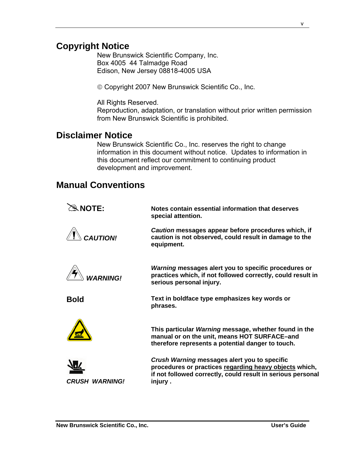## **Copyright Notice**

New Brunswick Scientific Company, Inc. Box 4005 44 Talmadge Road Edison, New Jersey 08818-4005 USA

© Copyright 2007 New Brunswick Scientific Co., Inc.

All Rights Reserved.

Reproduction, adaptation, or translation without prior written permission from New Brunswick Scientific is prohibited.

## **Disclaimer Notice**

New Brunswick Scientific Co., Inc. reserves the right to change information in this document without notice. Updates to information in this document reflect our commitment to continuing product development and improvement.

## **Manual Conventions**

| $\mathcal{R}$ NOTE:                    | Notes contain essential information that deserves<br>special attention.                                                                                                          |
|----------------------------------------|----------------------------------------------------------------------------------------------------------------------------------------------------------------------------------|
| <b>CAUTION!</b>                        | Caution messages appear before procedures which, if<br>caution is not observed, could result in damage to the<br>equipment.                                                      |
| <b>WARNING!</b>                        | Warning messages alert you to specific procedures or<br>practices which, if not followed correctly, could result in<br>serious personal injury.                                  |
| <b>Bold</b>                            | Text in boldface type emphasizes key words or<br>phrases.                                                                                                                        |
|                                        | This particular Warning message, whether found in the<br>manual or on the unit, means HOT SURFACE-and<br>therefore represents a potential danger to touch.                       |
| <b>WARNING!</b><br><i><b>CRUSH</b></i> | Crush Warning messages alert you to specific<br>procedures or practices regarding heavy objects which,<br>if not followed correctly, could result in serious personal<br>injury. |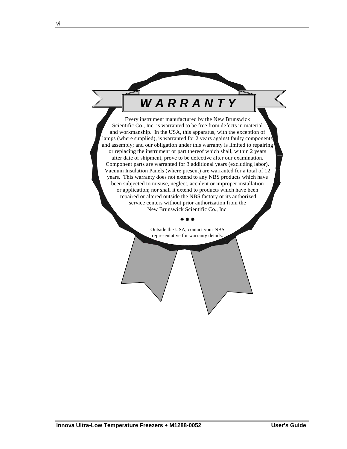## *W A R R A N T Y*

Every instrument manufactured by the New Brunswick Scientific Co., Inc. is warranted to be free from defects in material and workmanship. In the USA, this apparatus, with the exception of lamps (where supplied), is warranted for 2 years against faulty components and assembly; and our obligation under this warranty is limited to repairing or replacing the instrument or part thereof which shall, within 2 years after date of shipment, prove to be defective after our examination. Component parts are warranted for 3 additional years (excluding labor). Vacuum Insulation Panels (where present) are warranted for a total of 12 years. This warranty does not extend to any NBS products which have been subjected to misuse, neglect, accident or improper installation or application; nor shall it extend to products which have been repaired or altered outside the NBS factory or its authorized service centers without prior authorization from the New Brunswick Scientific Co., Inc.

> Outside the USA, contact your NBS representative for warranty details.

Æ Æ Æ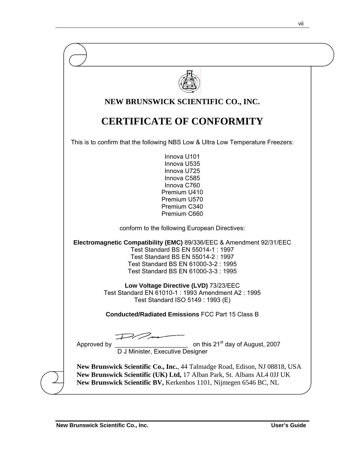|                                                            | NEW BRUNSWICK SCIENTIFIC CO., INC.                                                                                                                                                                                                                                                                                              |
|------------------------------------------------------------|---------------------------------------------------------------------------------------------------------------------------------------------------------------------------------------------------------------------------------------------------------------------------------------------------------------------------------|
|                                                            | <b>CERTIFICATE OF CONFORMITY</b>                                                                                                                                                                                                                                                                                                |
|                                                            | This is to confirm that the following NBS Low & Ultra Low Temperature Freezers:                                                                                                                                                                                                                                                 |
|                                                            | Innova U101<br>Innova U535<br>Innova U725<br>Innova C585<br>Innova C760<br>Premium U410<br>Premium U570<br>Premium C340<br>Premium C660                                                                                                                                                                                         |
|                                                            | conform to the following European Directives:                                                                                                                                                                                                                                                                                   |
|                                                            | Electromagnetic Compatibility (EMC) 89/336/EEC & Amendment 92/31/EEC<br>Test Standard BS EN 55014-1 : 1997<br>Test Standard BS EN 55014-2 : 1997<br>Test Standard BS EN 61000-3-2: 1995<br>Test Standard BS EN 61000-3-3 : 1995<br>Low Voltage Directive (LVD) 73/23/EEC<br>Test Standard EN 61010-1 : 1993 Amendment A2 : 1995 |
|                                                            | Test Standard ISO 5149 : 1993 (E)<br><b>Conducted/Radiated Emissions FCC Part 15 Class B</b>                                                                                                                                                                                                                                    |
|                                                            |                                                                                                                                                                                                                                                                                                                                 |
| on this<br>D J Minister, Executive Designer<br>Approved by | on this 21 <sup>st</sup> day of August, 2007                                                                                                                                                                                                                                                                                    |
|                                                            | New Brunswick Scientific Co., Inc., 44 Talmadge Road, Edison, NJ 08818, USA<br>New Brunswick Scientific (UK) Ltd, 17 Alban Park, St. Albans AL4 0JJ UK<br>New Brunswick Scientific BV, Kerkenbos 1101, Nijmegen 6546 BC, NL                                                                                                     |

vii viited valitti ka ta ka se maanda ka se maanda ka se maanda ka se maanda ka se maanda ka se maanda ka se m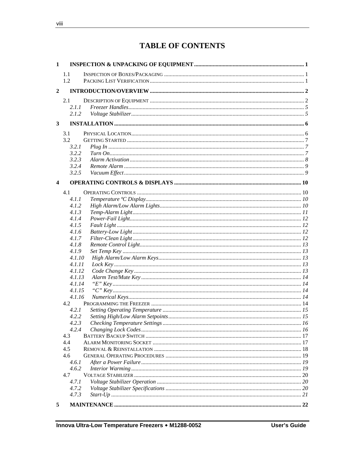## **TABLE OF CONTENTS**

| $\mathbf{1}$            |                  |  |
|-------------------------|------------------|--|
|                         | 1.1              |  |
|                         | 1.2              |  |
| $\boldsymbol{2}$        |                  |  |
|                         |                  |  |
|                         | 2.1              |  |
|                         | 2.1.1            |  |
|                         | 2.1.2            |  |
| $\mathbf{3}$            |                  |  |
|                         | 3.1              |  |
|                         | 3.2              |  |
|                         | 3.2.1            |  |
|                         | 3.2.2            |  |
|                         | 3.2.3            |  |
|                         | 3.2.4            |  |
|                         | 3.2.5            |  |
|                         |                  |  |
| $\overline{\mathbf{4}}$ |                  |  |
|                         | 4.1              |  |
|                         | 4.1.1            |  |
|                         | 4.1.2            |  |
|                         | 4.1.3            |  |
|                         | 4.1.4            |  |
|                         | 4.1.5            |  |
|                         | 4.1.6            |  |
|                         | 4.1.7            |  |
|                         | 4.1.8            |  |
|                         | 4.1.9            |  |
|                         | 4.1.10           |  |
|                         | 4.1.11           |  |
|                         | 4.1.12<br>4.1.13 |  |
|                         | 4.1.14           |  |
|                         | 4.1.15           |  |
|                         | 4.1.16           |  |
|                         | 4.2              |  |
|                         | 4.2.1            |  |
|                         | 4.2.2            |  |
|                         | 4.2.3            |  |
|                         | 4.2.4            |  |
|                         | 4.3              |  |
|                         | 4.4              |  |
|                         | 4.5              |  |
|                         | 4.6              |  |
|                         | 4.6.1            |  |
|                         | 4.6.2            |  |
|                         | 4.7              |  |
|                         | 4.7.1            |  |
|                         | 4.7.2            |  |
|                         | 4.7.3            |  |
| -5                      |                  |  |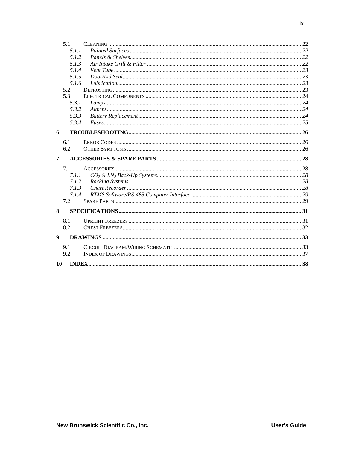|                  | 5.1   |  |
|------------------|-------|--|
|                  | 5.1.1 |  |
|                  | 5.1.2 |  |
|                  | 5.1.3 |  |
|                  | 5.1.4 |  |
|                  | 5.1.5 |  |
|                  | 5.1.6 |  |
|                  | 5.2   |  |
|                  | 5.3   |  |
|                  | 5.3.1 |  |
|                  | 5.3.2 |  |
|                  | 5.3.3 |  |
|                  | 5.3.4 |  |
| 6                |       |  |
|                  |       |  |
|                  | 6.1   |  |
|                  | 6.2   |  |
|                  |       |  |
| 7                |       |  |
|                  | 7.1   |  |
|                  | 7.1.1 |  |
|                  | 7.1.2 |  |
|                  | 7.1.3 |  |
|                  | 7.1.4 |  |
|                  | 7.2   |  |
| 8                |       |  |
|                  |       |  |
|                  | 8.1   |  |
|                  | 8.2   |  |
| $\boldsymbol{9}$ |       |  |
|                  | 9.1   |  |
|                  | 9.2   |  |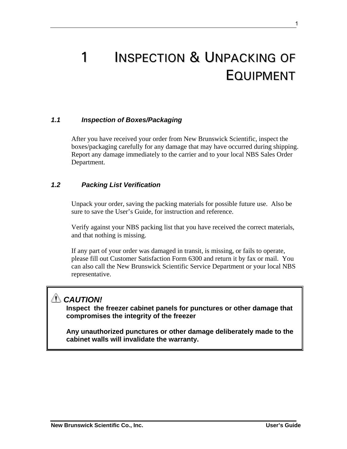# 1 INSPECTION & UNPACKING OF EQUIPMENT

#### *1.1 Inspection of Boxes/Packaging*

After you have received your order from New Brunswick Scientific, inspect the boxes/packaging carefully for any damage that may have occurred during shipping. Report any damage immediately to the carrier and to your local NBS Sales Order Department.

#### *1.2 Packing List Verification*

Unpack your order, saving the packing materials for possible future use. Also be sure to save the User's Guide, for instruction and reference.

Verify against your NBS packing list that you have received the correct materials, and that nothing is missing.

If any part of your order was damaged in transit, is missing, or fails to operate, please fill out Customer Satisfaction Form 6300 and return it by fax or mail. You can also call the New Brunswick Scientific Service Department or your local NBS representative.

## *CAUTION!*

**Inspect the freezer cabinet panels for punctures or other damage that compromises the integrity of the freezer** 

**Any unauthorized punctures or other damage deliberately made to the cabinet walls will invalidate the warranty.**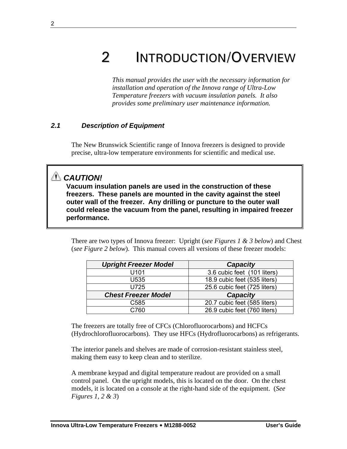# 2 INTRODUCTION/OVERVIEW

*This manual provides the user with the necessary information for installation and operation of the Innova range of Ultra-Low Temperature freezers with vacuum insulation panels. It also provides some preliminary user maintenance information.* 

#### *2.1 Description of Equipment*

The New Brunswick Scientific range of Innova freezers is designed to provide precise, ultra-low temperature environments for scientific and medical use.

## *CAUTION!*

**Vacuum insulation panels are used in the construction of these freezers. These panels are mounted in the cavity against the steel outer wall of the freezer. Any drilling or puncture to the outer wall could release the vacuum from the panel, resulting in impaired freezer performance.** 

There are two types of Innova freezer: Upright (*see Figures 1 & 3 below*) and Chest (*see Figure 2 below*). This manual covers all versions of these freezer models:

| <b>Upright Freezer Model</b> | <b>Capacity</b>              |
|------------------------------|------------------------------|
| U101                         | 3.6 cubic feet (101 liters)  |
| U535                         | 18.9 cubic feet (535 liters) |
| U725                         | 25.6 cubic feet (725 liters) |
| <b>Chest Freezer Model</b>   | <b>Capacity</b>              |
| C585                         | 20.7 cubic feet (585 liters) |
| C760                         | 26.9 cubic feet (760 liters) |

The freezers are totally free of CFCs (Chlorofluorocarbons) and HCFCs (Hydrochlorofluorocarbons). They use HFCs (Hydrofluorocarbons) as refrigerants.

The interior panels and shelves are made of corrosion-resistant stainless steel, making them easy to keep clean and to sterilize.

A membrane keypad and digital temperature readout are provided on a small control panel. On the upright models, this is located on the door. On the chest models, it is located on a console at the right-hand side of the equipment. (*See Figures 1, 2 & 3*)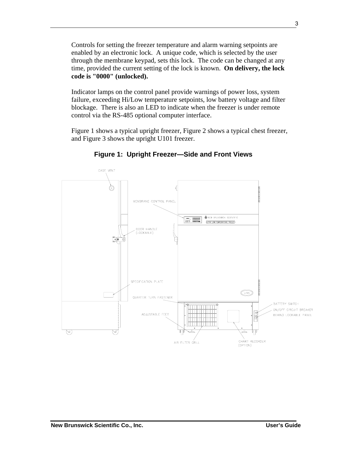Controls for setting the freezer temperature and alarm warning setpoints are enabled by an electronic lock. A unique code, which is selected by the user through the membrane keypad, sets this lock. The code can be changed at any time, provided the current setting of the lock is known. **On delivery, the lock code is "0000" (unlocked).** 

Indicator lamps on the control panel provide warnings of power loss, system failure, exceeding Hi/Low temperature setpoints, low battery voltage and filter blockage. There is also an LED to indicate when the freezer is under remote control via the RS-485 optional computer interface.

Figure 1 shows a typical upright freezer, Figure 2 shows a typical chest freezer, and Figure 3 shows the upright U101 freezer.



**Figure 1: Upright Freezer—Side and Front Views**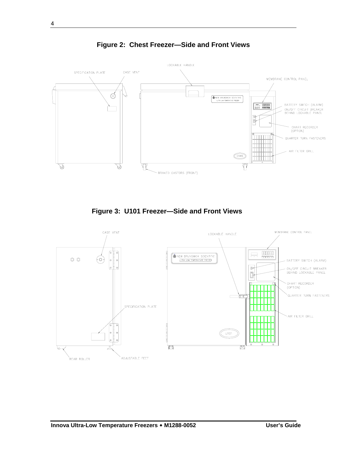

**Figure 2: Chest Freezer—Side and Front Views** 

**Figure 3: U101 Freezer—Side and Front Views** 

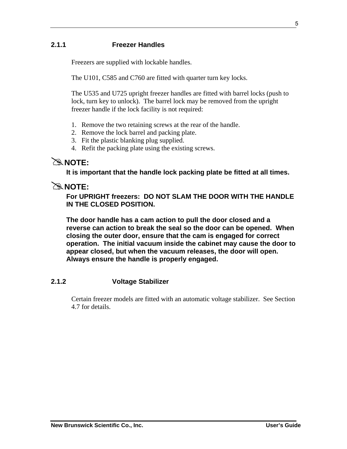#### **2.1.1 Freezer Handles**

Freezers are supplied with lockable handles.

The U101, C585 and C760 are fitted with quarter turn key locks.

The U535 and U725 upright freezer handles are fitted with barrel locks (push to lock, turn key to unlock). The barrel lock may be removed from the upright freezer handle if the lock facility is not required:

- 1. Remove the two retaining screws at the rear of the handle.
- 2. Remove the lock barrel and packing plate.
- 3. Fit the plastic blanking plug supplied.
- 4. Refit the packing plate using the existing screws.

### #**NOTE:**

**It is important that the handle lock packing plate be fitted at all times.** 

#### $\mathbb{R}$  NOTE:

**For UPRIGHT freezers: DO NOT SLAM THE DOOR WITH THE HANDLE IN THE CLOSED POSITION.** 

**The door handle has a cam action to pull the door closed and a reverse can action to break the seal so the door can be opened. When closing the outer door, ensure that the cam is engaged for correct operation. The initial vacuum inside the cabinet may cause the door to appear closed, but when the vacuum releases, the door will open. Always ensure the handle is properly engaged.** 

#### **2.1.2 Voltage Stabilizer**

Certain freezer models are fitted with an automatic voltage stabilizer. See Section 4.7 for details.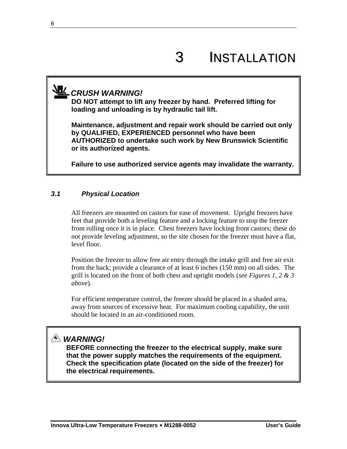## *CRUSH WARNING!*

**DO NOT attempt to lift any freezer by hand. Preferred lifting for loading and unloading is by hydraulic tail lift.** 

**Maintenance, adjustment and repair work should be carried out only by QUALIFIED, EXPERIENCED personnel who have been AUTHORIZED to undertake such work by New Brunswick Scientific or its authorized agents.** 

**Failure to use authorized service agents may invalidate the warranty.** 

#### *3.1 Physical Location*

All freezers are mounted on castors for ease of movement. Upright freezers have feet that provide both a leveling feature and a locking feature to stop the freezer from rolling once it is in place. Chest freezers have locking front castors; these do not provide leveling adjustment, so the site chosen for the freezer must have a flat, level floor.

Position the freezer to allow free air entry through the intake grill and free air exit from the back; provide a clearance of at least 6 inches (150 mm) on all sides. The grill is located on the front of both chest and upright models (*see Figures 1, 2 & 3 above*).

For efficient temperature control, the freezer should be placed in a shaded area, away from sources of excessive heat. For maximum cooling capability, the unit should be located in an air-conditioned room.

## *WARNING!*

**BEFORE connecting the freezer to the electrical supply, make sure that the power supply matches the requirements of the equipment. Check the specification plate (located on the side of the freezer) for the electrical requirements.**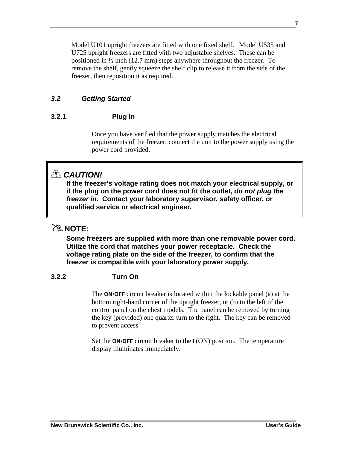Model U101 upright freezers are fitted with one fixed shelf. Model U535 and U725 upright freezers are fitted with two adjustable shelves. These can be positioned in ½ inch (12.7 mm) steps anywhere throughout the freezer. To remove the shelf, gently squeeze the shelf clip to release it from the side of the freezer, then reposition it as required.

#### *3.2 Getting Started*

#### **3.2.1 Plug In**

Once you have verified that the power supply matches the electrical requirements of the freezer, connect the unit to the power supply using the power cord provided.

## *CAUTION!*

**If the freezer's voltage rating does not match your electrical supply, or if the plug on the power cord does not fit the outlet,** *do not plug the freezer in***. Contact your laboratory supervisor, safety officer, or qualified service or electrical engineer.** 

## $\mathbb{R}$  NOTE:

**Some freezers are supplied with more than one removable power cord. Utilize the cord that matches your power receptacle. Check the voltage rating plate on the side of the freezer, to confirm that the freezer is compatible with your laboratory power supply.** 

#### **3.2.2 Turn On**

The **ON/OFF** circuit breaker is located within the lockable panel (a) at the bottom right-hand corner of the upright freezer, or (b) to the left of the control panel on the chest models. The panel can be removed by turning the key (provided) one quarter turn to the right. The key can be removed to prevent access.

Set the **ON/OFF** circuit breaker to the **I** (ON) position. The temperature display illuminates immediately.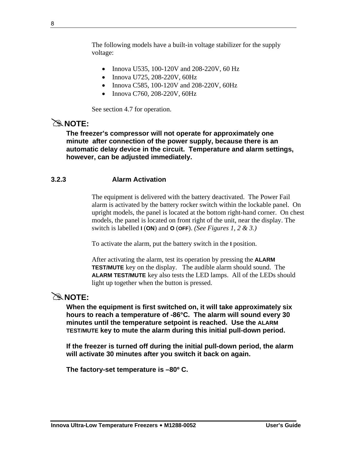The following models have a built-in voltage stabilizer for the supply voltage:

- Innova U535, 100-120V and 208-220V, 60 Hz
- Innova U725, 208-220V, 60Hz
- Innova C585, 100-120V and 208-220V, 60Hz
- Innova C760, 208-220V, 60Hz

See section 4.7 for operation.

## #**NOTE:**

**The freezer's compressor will not operate for approximately one minute after connection of the power supply, because there is an automatic delay device in the circuit. Temperature and alarm settings, however, can be adjusted immediately.** 

#### **3.2.3 Alarm Activation**

The equipment is delivered with the battery deactivated. The Power Fail alarm is activated by the battery rocker switch within the lockable panel. On upright models, the panel is located at the bottom right-hand corner. On chest models, the panel is located on front right of the unit, near the display. The switch is labelled **I** (**ON**) and **O** (**OFF**). *(See Figures 1, 2 & 3.)* 

To activate the alarm, put the battery switch in the **I** position.

After activating the alarm, test its operation by pressing the **ALARM TEST/MUTE** key on the display. The audible alarm should sound. The **ALARM TEST/MUTE** key also tests the LED lamps. All of the LEDs should light up together when the button is pressed.

## #**NOTE:**

**When the equipment is first switched on, it will take approximately six hours to reach a temperature of -86°C. The alarm will sound every 30 minutes until the temperature setpoint is reached. Use the ALARM TEST/MUTE key to mute the alarm during this initial pull-down period.** 

**If the freezer is turned off during the initial pull-down period, the alarm will activate 30 minutes after you switch it back on again.** 

**The factory-set temperature is –80º C.**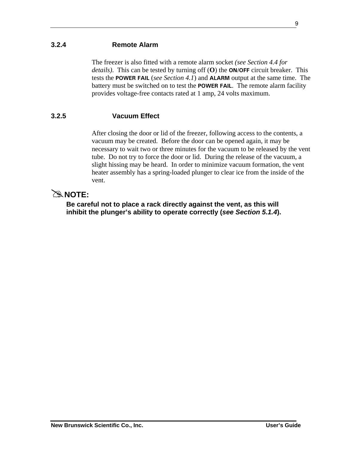#### **3.2.4 Remote Alarm**

The freezer is also fitted with a remote alarm socket *(see Section 4.4 for details)*. This can be tested by turning off (**O**) the **ON/OFF** circuit breaker. This tests the **POWER FAIL** (*see Section 4.1*) and **ALARM** output at the same time. The battery must be switched on to test the **POWER FAIL**. The remote alarm facility provides voltage-free contacts rated at 1 amp, 24 volts maximum.

#### **3.2.5 Vacuum Effect**

After closing the door or lid of the freezer, following access to the contents, a vacuum may be created. Before the door can be opened again, it may be necessary to wait two or three minutes for the vacuum to be released by the vent tube. Do not try to force the door or lid. During the release of the vacuum, a slight hissing may be heard. In order to minimize vacuum formation, the vent heater assembly has a spring-loaded plunger to clear ice from the inside of the vent.

### $\mathbb{R}$  NOTE:

**Be careful not to place a rack directly against the vent, as this will inhibit the plunger's ability to operate correctly (***see Section 5.1.4***).**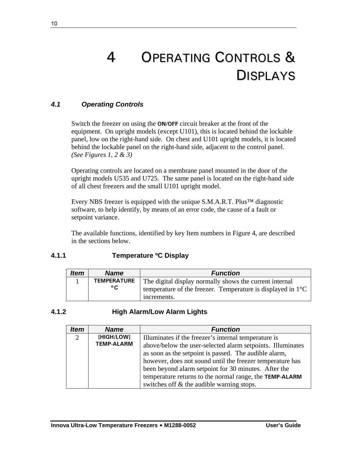# 4 OPERATING CONTROLS & DISPLAYS

#### *4.1 Operating Controls*

Switch the freezer on using the **ON/OFF** circuit breaker at the front of the equipment. On upright models (except U101), this is located behind the lockable panel, low on the right-hand side. On chest and U101 upright models, it is located behind the lockable panel on the right-hand side, adjacent to the control panel. *(See Figures 1, 2 & 3)* 

Operating controls are located on a membrane panel mounted in the door of the upright models U535 and U725. The same panel is located on the right-hand side of all chest freezers and the small U101 upright model.

Every NBS freezer is equipped with the unique S.M.A.R.T. Plus™ diagnostic software, to help identify, by means of an error code, the cause of a fault or setpoint variance.

The available functions, identified by key Item numbers in Figure 4, are described in the sections below.

#### **4.1.1 Temperature ºC Display**

| <b>Item</b> | <b>Name</b>                        | <b>Function</b>                                                                                                                                 |
|-------------|------------------------------------|-------------------------------------------------------------------------------------------------------------------------------------------------|
|             | <b>TEMPERATURE</b><br>$^{\circ}$ C | The digital display normally shows the current internal<br>temperature of the freezer. Temperature is displayed in $1^{\circ}$ C<br>increments. |

#### **4.1.2 High Alarm/Low Alarm Lights**

| <b>Item</b> | <b>Name</b>                     | <b>Function</b>                                                                                                                                                                                                                                                                                  |
|-------------|---------------------------------|--------------------------------------------------------------------------------------------------------------------------------------------------------------------------------------------------------------------------------------------------------------------------------------------------|
| 2           | [HIGH/LOW]<br><b>TEMP-ALARM</b> | Illuminates if the freezer's internal temperature is<br>above/below the user-selected alarm setpoints. Illuminates<br>as soon as the setpoint is passed. The audible alarm,<br>however, does not sound until the freezer temperature has<br>been beyond alarm setpoint for 30 minutes. After the |
|             |                                 | temperature returns to the normal range, the TEMP-ALARM<br>switches off & the audible warning stops.                                                                                                                                                                                             |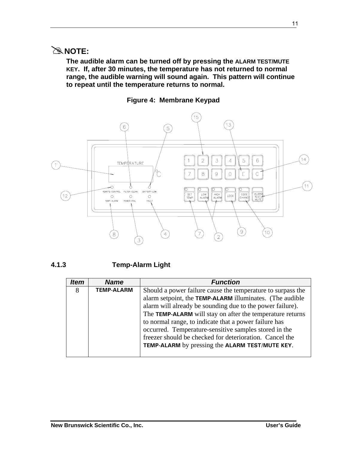## #**NOTE:**

**The audible alarm can be turned off by pressing the ALARM TEST/MUTE KEY. If, after 30 minutes, the temperature has not returned to normal range, the audible warning will sound again. This pattern will continue to repeat until the temperature returns to normal.** 

**Figure 4: Membrane Keypad** 



#### **4.1.3 Temp-Alarm Light**

| <i><b>Item</b></i> | <b>Name</b>       | <b>Function</b>                                             |
|--------------------|-------------------|-------------------------------------------------------------|
| 8                  | <b>TEMP-ALARM</b> | Should a power failure cause the temperature to surpass the |
|                    |                   | alarm setpoint, the TEMP-ALARM illuminates. (The audible    |
|                    |                   | alarm will already be sounding due to the power failure).   |
|                    |                   | The TEMP-ALARM will stay on after the temperature returns   |
|                    |                   | to normal range, to indicate that a power failure has       |
|                    |                   | occurred. Temperature-sensitive samples stored in the       |
|                    |                   | freezer should be checked for deterioration. Cancel the     |
|                    |                   | TEMP-ALARM by pressing the ALARM TEST/MUTE KEY.             |
|                    |                   |                                                             |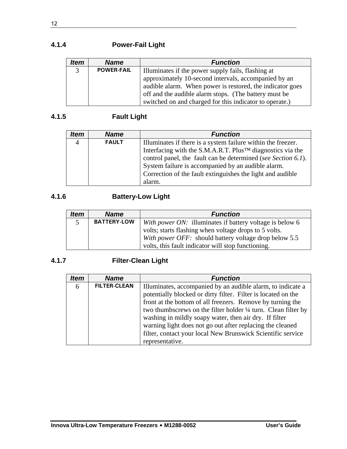## **4.1.4 Power-Fail Light**

| <b>Item</b>    | <b>Name</b>       | <b>Function</b>                                           |
|----------------|-------------------|-----------------------------------------------------------|
| 3 <sup>1</sup> | <b>POWER-FAIL</b> | Illuminates if the power supply fails, flashing at        |
|                |                   | approximately 10-second intervals, accompanied by an      |
|                |                   | audible alarm. When power is restored, the indicator goes |
|                |                   | off and the audible alarm stops. (The battery must be     |
|                |                   | switched on and charged for this indicator to operate.)   |

## **4.1.5 Fault Light**

| <i><b>Item</b></i> | <b>Name</b>  | <b>Function</b>                                                        |
|--------------------|--------------|------------------------------------------------------------------------|
|                    | <b>FAULT</b> | Illuminates if there is a system failure within the freezer.           |
|                    |              | Interfacing with the S.M.A.R.T. Plus <sup>TM</sup> diagnostics via the |
|                    |              | control panel, the fault can be determined (see Section 6.1).          |
|                    |              | System failure is accompanied by an audible alarm.                     |
|                    |              | Correction of the fault extinguishes the light and audible             |
|                    |              | alarm.                                                                 |

### **4.1.6 Battery-Low Light**

| <b>Item</b> | <b>Name</b>        | <b>Function</b>                                          |
|-------------|--------------------|----------------------------------------------------------|
| 5           | <b>BATTERY-LOW</b> | With power ON: illuminates if battery voltage is below 6 |
|             |                    | volts; starts flashing when voltage drops to 5 volts.    |
|             |                    | With power OFF: should battery voltage drop below 5.5    |
|             |                    | volts, this fault indicator will stop functioning.       |

## **4.1.7 Filter-Clean Light**

| ltem | <b>Name</b>         | <b>Function</b>                                                                                                                                                                                                                                                                                                                                                                     |
|------|---------------------|-------------------------------------------------------------------------------------------------------------------------------------------------------------------------------------------------------------------------------------------------------------------------------------------------------------------------------------------------------------------------------------|
| 6    | <b>FILTER-CLEAN</b> | Illuminates, accompanied by an audible alarm, to indicate a<br>potentially blocked or dirty filter. Filter is located on the<br>front at the bottom of all freezers. Remove by turning the<br>two thumbscrews on the filter holder 1/4 turn. Clean filter by<br>washing in mildly soapy water, then air dry. If filter<br>warning light does not go out after replacing the cleaned |
|      |                     | filter, contact your local New Brunswick Scientific service                                                                                                                                                                                                                                                                                                                         |
|      |                     | representative.                                                                                                                                                                                                                                                                                                                                                                     |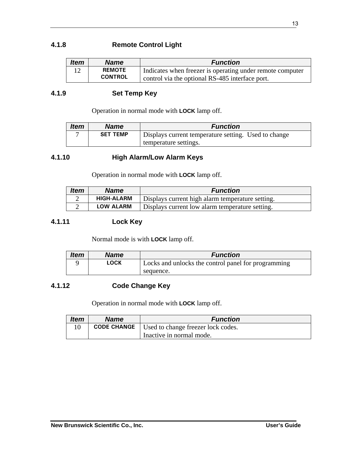#### **4.1.8 Remote Control Light**

| <b>Item</b> | <b>Name</b>    | <b>Function</b>                                           |
|-------------|----------------|-----------------------------------------------------------|
| 12          | <b>REMOTE</b>  | Indicates when freezer is operating under remote computer |
|             | <b>CONTROL</b> | control via the optional RS-485 interface port.           |

#### **4.1.9 Set Temp Key**

Operation in normal mode with **LOCK** lamp off.

| <b>Item</b> | <b>Name</b>     | <b>Function</b>                                      |
|-------------|-----------------|------------------------------------------------------|
|             | <b>SET TEMP</b> | Displays current temperature setting. Used to change |
|             |                 | temperature settings.                                |

#### **4.1.10 High Alarm/Low Alarm Keys**

Operation in normal mode with **LOCK** lamp off.

| <b>Item</b> | <b>Name</b>       | <b>Function</b>                                  |
|-------------|-------------------|--------------------------------------------------|
|             | <b>HIGH-ALARM</b> | Displays current high alarm temperature setting. |
|             | <b>LOW ALARM</b>  | Displays current low alarm temperature setting.  |

#### **4.1.11 Lock Key**

Normal mode is with **LOCK** lamp off.

| <b>Item</b> | <b>Name</b> | <b>Function</b>                                     |
|-------------|-------------|-----------------------------------------------------|
|             | LOCK        | Locks and unlocks the control panel for programming |
|             |             | sequence.                                           |

#### **4.1.12 Code Change Key**

Operation in normal mode with **LOCK** lamp off.

| <b>Item</b> | <b>Name</b> | <b>Function</b>                                         |
|-------------|-------------|---------------------------------------------------------|
|             |             | <b>CODE CHANGE</b>   Used to change freezer lock codes. |
|             |             | Inactive in normal mode.                                |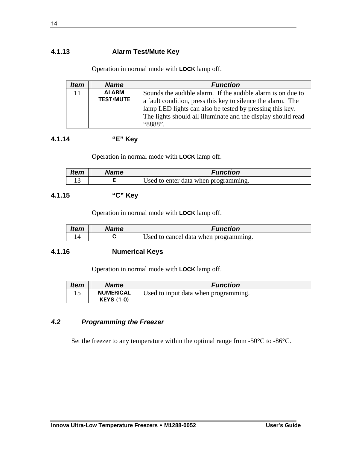#### **4.1.13 Alarm Test/Mute Key**

Operation in normal mode with **LOCK** lamp off.

| <b>Item</b> | <b>Name</b>      | <b>Function</b>                                              |
|-------------|------------------|--------------------------------------------------------------|
| 11          | <b>ALARM</b>     | Sounds the audible alarm. If the audible alarm is on due to  |
|             | <b>TEST/MUTE</b> | a fault condition, press this key to silence the alarm. The  |
|             |                  | lamp LED lights can also be tested by pressing this key.     |
|             |                  | The lights should all illuminate and the display should read |
|             |                  | "8888"                                                       |

#### **4.1.14 "E" Key**

Operation in normal mode with **LOCK** lamp off.

| <b>Item</b> | Name | Function                             |
|-------------|------|--------------------------------------|
| ⊥ ~         |      | Used to enter data when programming. |

#### **4.1.15 "C" Key**

Operation in normal mode with **LOCK** lamp off.

| <b>Item</b> | Name | Function                              |
|-------------|------|---------------------------------------|
|             |      | Used to cancel data when programming. |

#### **4.1.16 Numerical Keys**

Operation in normal mode with **LOCK** lamp off.

| <b>Item</b> | <b>Name</b>       | <b>Function</b>                      |
|-------------|-------------------|--------------------------------------|
|             | <b>NUMERICAL</b>  | Used to input data when programming. |
|             | <b>KEYS (1-0)</b> |                                      |

#### *4.2 Programming the Freezer*

Set the freezer to any temperature within the optimal range from -50°C to -86°C.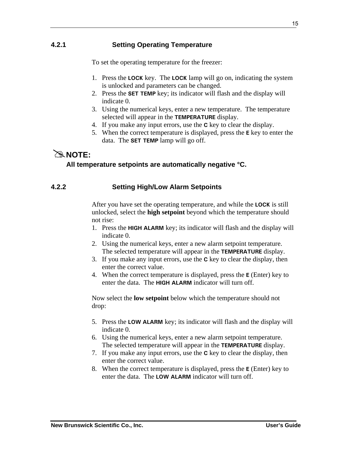## **4.2.1 Setting Operating Temperature**

To set the operating temperature for the freezer:

- 1. Press the **LOCK** key. The **LOCK** lamp will go on, indicating the system is unlocked and parameters can be changed.
- 2. Press the **SET TEMP** key; its indicator will flash and the display will indicate 0.
- 3. Using the numerical keys, enter a new temperature. The temperature selected will appear in the **TEMPERATURE** display.
- 4. If you make any input errors, use the **C** key to clear the display.
- 5. When the correct temperature is displayed, press the **E** key to enter the data. The **SET TEMP** lamp will go off.

## #**NOTE:**

### **All temperature setpoints are automatically negative °C.**

### **4.2.2 Setting High/Low Alarm Setpoints**

After you have set the operating temperature, and while the **LOCK** is still unlocked, select the **high setpoint** beyond which the temperature should not rise:

- 1. Press the **HIGH ALARM** key; its indicator will flash and the display will indicate 0.
- 2. Using the numerical keys, enter a new alarm setpoint temperature. The selected temperature will appear in the **TEMPERATURE** display.
- 3. If you make any input errors, use the **C** key to clear the display, then enter the correct value.
- 4. When the correct temperature is displayed, press the **E** (Enter) key to enter the data. The **HIGH ALARM** indicator will turn off.

Now select the **low setpoint** below which the temperature should not drop:

- 5. Press the **LOW ALARM** key; its indicator will flash and the display will indicate 0.
- 6. Using the numerical keys, enter a new alarm setpoint temperature. The selected temperature will appear in the **TEMPERATURE** display.
- 7. If you make any input errors, use the **C** key to clear the display, then enter the correct value.
- 8. When the correct temperature is displayed, press the **E** (Enter) key to enter the data. The **LOW ALARM** indicator will turn off.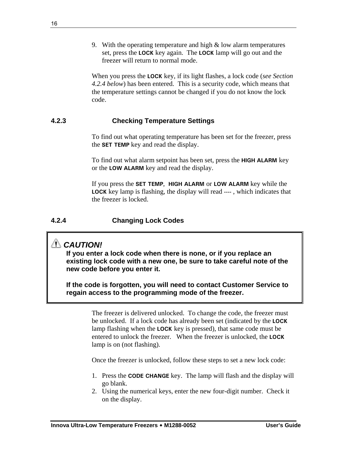9. With the operating temperature and high  $&$  low alarm temperatures set, press the **LOCK** key again. The **LOCK** lamp will go out and the freezer will return to normal mode.

When you press the **LOCK** key, if its light flashes, a lock code (*see Section 4.2.4 below*) has been entered. This is a security code, which means that the temperature settings cannot be changed if you do not know the lock code.

#### **4.2.3 Checking Temperature Settings**

To find out what operating temperature has been set for the freezer, press the **SET TEMP** key and read the display.

To find out what alarm setpoint has been set, press the **HIGH ALARM** key or the **LOW ALARM** key and read the display.

If you press the **SET TEMP**, **HIGH ALARM** or **LOW ALARM** key while the **LOCK** key lamp is flashing, the display will read **----** , which indicates that the freezer is locked.

#### **4.2.4 Changing Lock Codes**

## *CAUTION!*

**If you enter a lock code when there is none, or if you replace an existing lock code with a new one, be sure to take careful note of the new code before you enter it.** 

**If the code is forgotten, you will need to contact Customer Service to regain access to the programming mode of the freezer.** 

> The freezer is delivered unlocked. To change the code, the freezer must be unlocked. If a lock code has already been set (indicated by the **LOCK**  lamp flashing when the **LOCK** key is pressed), that same code must be entered to unlock the freezer. When the freezer is unlocked, the **LOCK**  lamp is on (not flashing).

Once the freezer is unlocked, follow these steps to set a new lock code:

- 1. Press the **CODE CHANGE** key. The lamp will flash and the display will go blank.
- 2. Using the numerical keys, enter the new four-digit number. Check it on the display.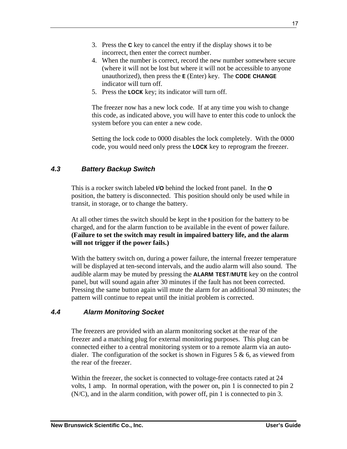- 3. Press the **C** key to cancel the entry if the display shows it to be incorrect, then enter the correct number.
- 4. When the number is correct, record the new number somewhere secure (where it will not be lost but where it will not be accessible to anyone unauthorized), then press the **E** (Enter) key. The **CODE CHANGE** indicator will turn off.
- 5. Press the **LOCK** key; its indicator will turn off.

The freezer now has a new lock code. If at any time you wish to change this code, as indicated above, you will have to enter this code to unlock the system before you can enter a new code.

Setting the lock code to 0000 disables the lock completely. With the 0000 code, you would need only press the **LOCK** key to reprogram the freezer.

#### *4.3 Battery Backup Switch*

This is a rocker switch labeled **I/O** behind the locked front panel. In the **O** position, the battery is disconnected. This position should only be used while in transit, in storage, or to change the battery.

At all other times the switch should be kept in the **I** position for the battery to be charged, and for the alarm function to be available in the event of power failure. **(Failure to set the switch may result in impaired battery life, and the alarm will not trigger if the power fails.)**

With the battery switch on, during a power failure, the internal freezer temperature will be displayed at ten-second intervals, and the audio alarm will also sound. The audible alarm may be muted by pressing the **ALARM TEST/MUTE** key on the control panel, but will sound again after 30 minutes if the fault has not been corrected. Pressing the same button again will mute the alarm for an additional 30 minutes; the pattern will continue to repeat until the initial problem is corrected.

#### *4.4 Alarm Monitoring Socket*

The freezers are provided with an alarm monitoring socket at the rear of the freezer and a matching plug for external monitoring purposes. This plug can be connected either to a central monitoring system or to a remote alarm via an autodialer. The configuration of the socket is shown in Figures 5  $\&$  6, as viewed from the rear of the freezer.

Within the freezer, the socket is connected to voltage-free contacts rated at 24 volts, 1 amp. In normal operation, with the power on, pin 1 is connected to pin 2 (N/C), and in the alarm condition, with power off, pin 1 is connected to pin 3.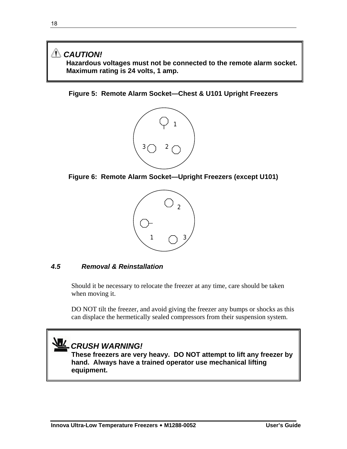## *CAUTION!*

**Hazardous voltages must not be connected to the remote alarm socket. Maximum rating is 24 volts, 1 amp.** 

#### **Figure 5: Remote Alarm Socket—Chest & U101 Upright Freezers**



**Figure 6: Remote Alarm Socket—Upright Freezers (except U101)** 



#### *4.5 Removal & Reinstallation*

Should it be necessary to relocate the freezer at any time, care should be taken when moving it.

DO NOT tilt the freezer, and avoid giving the freezer any bumps or shocks as this can displace the hermetically sealed compressors from their suspension system.

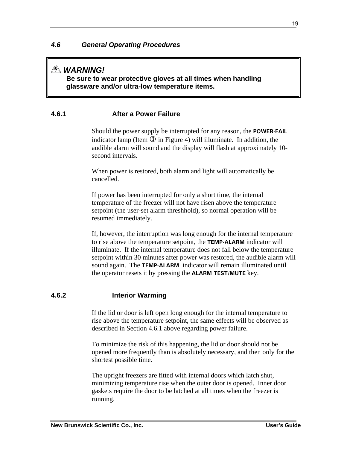## *WARNING!*

**Be sure to wear protective gloves at all times when handling glassware and/or ultra-low temperature items.** 

#### **4.6.1 After a Power Failure**

Should the power supply be interrupted for any reason, the **POWER-FAIL** indicator lamp (Item  $\Im$  in Figure 4) will illuminate. In addition, the audible alarm will sound and the display will flash at approximately 10 second intervals.

When power is restored, both alarm and light will automatically be cancelled.

If power has been interrupted for only a short time, the internal temperature of the freezer will not have risen above the temperature setpoint (the user-set alarm threshhold), so normal operation will be resumed immediately.

If, however, the interruption was long enough for the internal temperature to rise above the temperature setpoint, the **TEMP-ALARM** indicator will illuminate. If the internal temperature does not fall below the temperature setpoint within 30 minutes after power was restored, the audible alarm will sound again. The **TEMP-ALARM** indicator will remain illuminated until the operator resets it by pressing the **ALARM TEST/MUTE** key.

#### **4.6.2 Interior Warming**

If the lid or door is left open long enough for the internal temperature to rise above the temperature setpoint, the same effects will be observed as described in Section 4.6.1 above regarding power failure.

To minimize the risk of this happening, the lid or door should not be opened more frequently than is absolutely necessary, and then only for the shortest possible time.

The upright freezers are fitted with internal doors which latch shut, minimizing temperature rise when the outer door is opened. Inner door gaskets require the door to be latched at all times when the freezer is running.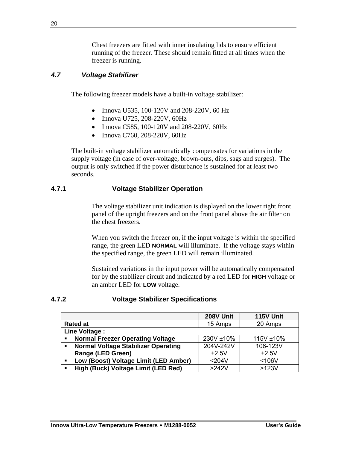Chest freezers are fitted with inner insulating lids to ensure efficient running of the freezer. These should remain fitted at all times when the freezer is running.

#### *4.7 Voltage Stabilizer*

The following freezer models have a built-in voltage stabilizer:

- Innova U535, 100-120V and 208-220V, 60 Hz
- Innova U725, 208-220V, 60Hz
- Innova C585, 100-120V and 208-220V, 60Hz
- Innova C760, 208-220V, 60Hz

The built-in voltage stabilizer automatically compensates for variations in the supply voltage (in case of over-voltage, brown-outs, dips, sags and surges). The output is only switched if the power disturbance is sustained for at least two seconds.

#### **4.7.1 Voltage Stabilizer Operation**

The voltage stabilizer unit indication is displayed on the lower right front panel of the upright freezers and on the front panel above the air filter on the chest freezers.

When you switch the freezer on, if the input voltage is within the specified range, the green LED **NORMAL** will illuminate. If the voltage stays within the specified range, the green LED will remain illuminated.

Sustained variations in the input power will be automatically compensated for by the stabilizer circuit and indicated by a red LED for **HIGH** voltage or an amber LED for **LOW** voltage.

#### **4.7.2 Voltage Stabilizer Specifications**

|                                                              | 208V Unit | 115V Unit |
|--------------------------------------------------------------|-----------|-----------|
| <b>Rated at</b>                                              | 15 Amps   | 20 Amps   |
| Line Voltage :                                               |           |           |
| <b>Normal Freezer Operating Voltage</b><br>$\blacksquare$    | 230V ±10% | 115V ±10% |
| <b>Normal Voltage Stabilizer Operating</b><br>$\blacksquare$ | 204V-242V | 106-123V  |
| <b>Range (LED Green)</b>                                     | ±2.5V     | ±2.5V     |
| Low (Boost) Voltage Limit (LED Amber)<br>$\blacksquare$      | $204V$    | < 106V    |
| High (Buck) Voltage Limit (LED Red)<br>$\blacksquare$        | $>242V$   | $>123V$   |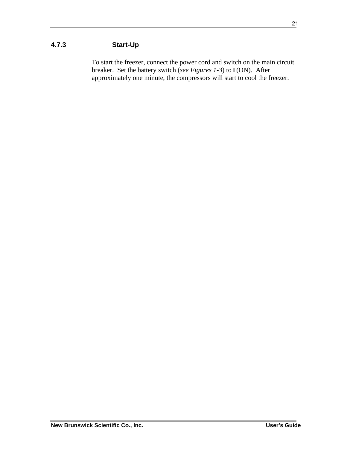To start the freezer, connect the power cord and switch on the main circuit breaker. Set the battery switch (*see Figures 1-3*) to **I** (ON). After approximately one minute, the compressors will start to cool the freezer.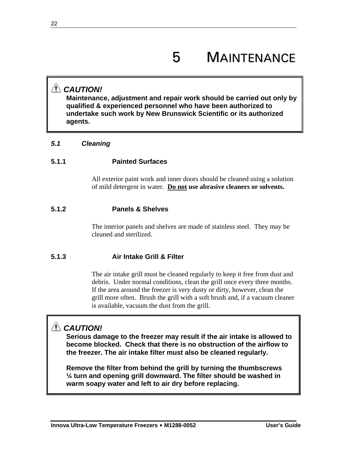## *CAUTION!*

**Maintenance, adjustment and repair work should be carried out only by qualified & experienced personnel who have been authorized to undertake such work by New Brunswick Scientific or its authorized agents.** 

#### *5.1 Cleaning*

#### **5.1.1 Painted Surfaces**

All exterior paint work and inner doors should be cleaned using a solution of mild detergent in water. **Do not use abrasive cleaners or solvents.** 

#### **5.1.2 Panels & Shelves**

The interior panels and shelves are made of stainless steel. They may be cleaned and sterilized.

#### **5.1.3 Air Intake Grill & Filter**

The air intake grill must be cleaned regularly to keep it free from dust and debris. Under normal conditions, clean the grill once every three months. If the area around the freezer is very dusty or dirty, however, clean the grill more often. Brush the grill with a soft brush and, if a vacuum cleaner is available, vacuum the dust from the grill.

## *CAUTION!*

**Serious damage to the freezer may result if the air intake is allowed to become blocked. Check that there is no obstruction of the airflow to the freezer. The air intake filter must also be cleaned regularly.** 

**Remove the filter from behind the grill by turning the thumbscrews ¼ turn and opening grill downward. The filter should be washed in warm soapy water and left to air dry before replacing.**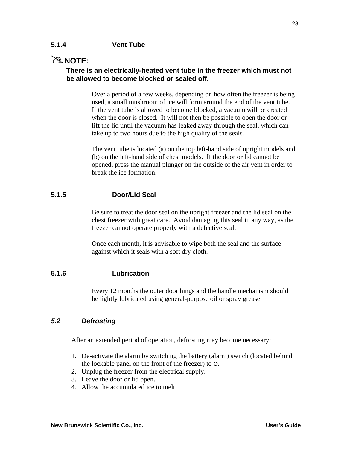#### **5.1.4 Vent Tube**

## $\mathbb{R}$  NOTE:

#### **There is an electrically-heated vent tube in the freezer which must not be allowed to become blocked or sealed off.**

Over a period of a few weeks, depending on how often the freezer is being used, a small mushroom of ice will form around the end of the vent tube. If the vent tube is allowed to become blocked, a vacuum will be created when the door is closed. It will not then be possible to open the door or lift the lid until the vacuum has leaked away through the seal, which can take up to two hours due to the high quality of the seals.

The vent tube is located (a) on the top left-hand side of upright models and (b) on the left-hand side of chest models. If the door or lid cannot be opened, press the manual plunger on the outside of the air vent in order to break the ice formation.

#### **5.1.5 Door/Lid Seal**

Be sure to treat the door seal on the upright freezer and the lid seal on the chest freezer with great care. Avoid damaging this seal in any way, as the freezer cannot operate properly with a defective seal.

Once each month, it is advisable to wipe both the seal and the surface against which it seals with a soft dry cloth.

#### **5.1.6 Lubrication**

Every 12 months the outer door hings and the handle mechanism should be lightly lubricated using general-purpose oil or spray grease.

#### *5.2 Defrosting*

After an extended period of operation, defrosting may become necessary:

- 1. De-activate the alarm by switching the battery (alarm) switch (located behind the lockable panel on the front of the freezer) to **O**.
- 2. Unplug the freezer from the electrical supply.
- 3. Leave the door or lid open.
- 4. Allow the accumulated ice to melt.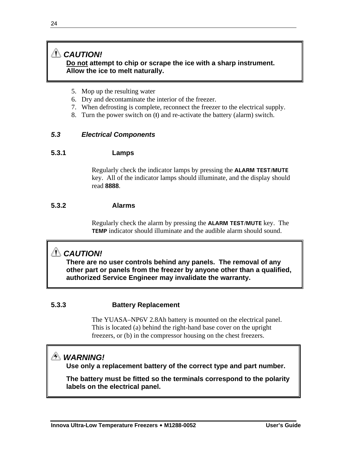#### *CAUTION!* **Do not attempt to chip or scrape the ice with a sharp instrument. Allow the ice to melt naturally.**

- 5. Mop up the resulting water
- 6. Dry and decontaminate the interior of the freezer.
- 7. When defrosting is complete, reconnect the freezer to the electrical supply.
- 8. Turn the power switch on (**I**) and re-activate the battery (alarm) switch.

#### *5.3 Electrical Components*

#### **5.3.1 Lamps**

Regularly check the indicator lamps by pressing the **ALARM TEST/MUTE**  key. All of the indicator lamps should illuminate, and the display should read **8888**.

#### **5.3.2 Alarms**

Regularly check the alarm by pressing the **ALARM TEST/MUTE** key. The **TEMP** indicator should illuminate and the audible alarm should sound.

## *CAUTION!*

**There are no user controls behind any panels. The removal of any other part or panels from the freezer by anyone other than a qualified, authorized Service Engineer may invalidate the warranty.** 

#### **5.3.3 Battery Replacement**

The YUASA–NP6V 2.8Ah battery is mounted on the electrical panel. This is located (a) behind the right-hand base cover on the upright freezers, or (b) in the compressor housing on the chest freezers.

## *WARNING!*

**Use only a replacement battery of the correct type and part number.** 

**The battery must be fitted so the terminals correspond to the polarity labels on the electrical panel.**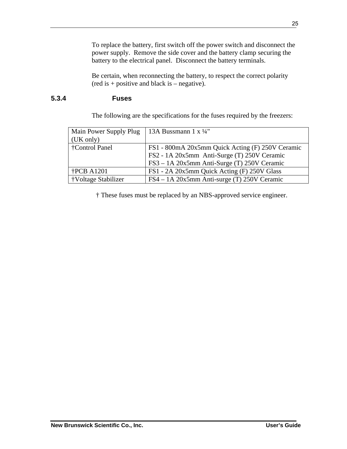To replace the battery, first switch off the power switch and disconnect the power supply. Remove the side cover and the battery clamp securing the battery to the electrical panel. Disconnect the battery terminals.

Be certain, when reconnecting the battery, to respect the correct polarity  $(\text{red is + positive and black is - negative}).$ 

#### **5.3.4 Fuses**

The following are the specifications for the fuses required by the freezers:

| Main Power Supply Plug | 13A Bussmann $1 \times \frac{1}{4}$ "            |
|------------------------|--------------------------------------------------|
| (UK only)              |                                                  |
| †Control Panel         | FS1 - 800mA 20x5mm Quick Acting (F) 250V Ceramic |
|                        | FS2 - 1A 20x5mm Anti-Surge (T) 250V Ceramic      |
|                        | FS3 – 1A 20x5mm Anti-Surge (T) 250V Ceramic      |
| $\text{FCB}$ A1201     | FS1 - 2A 20x5mm Quick Acting (F) 250V Glass      |
| †Voltage Stabilizer    | $FS4 - 1A$ 20x5mm Anti-surge (T) 250V Ceramic    |

† These fuses must be replaced by an NBS-approved service engineer.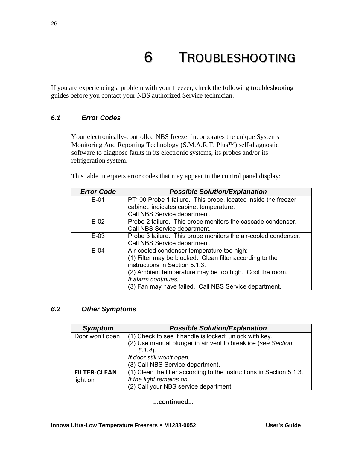## 6 TROUBLESHOOTING

If you are experiencing a problem with your freezer, check the following troubleshooting guides before you contact your NBS authorized Service technician.

#### *6.1 Error Codes*

Your electronically-controlled NBS freezer incorporates the unique Systems Monitoring And Reporting Technology (S.M.A.R.T. Plus™) self-diagnostic software to diagnose faults in its electronic systems, its probes and/or its refrigeration system.

This table interprets error codes that may appear in the control panel display:

| <b>Error Code</b> | <b>Possible Solution/Explanation</b>                           |
|-------------------|----------------------------------------------------------------|
| $E-01$            | PT100 Probe 1 failure. This probe, located inside the freezer  |
|                   | cabinet, indicates cabinet temperature.                        |
|                   | Call NBS Service department.                                   |
| $E-02$            | Probe 2 failure. This probe monitors the cascade condenser.    |
|                   | Call NBS Service department.                                   |
| $E-0.3$           | Probe 3 failure. This probe monitors the air-cooled condenser. |
|                   | Call NBS Service department.                                   |
| $E-04$            | Air-cooled condenser temperature too high:                     |
|                   | (1) Filter may be blocked. Clean filter according to the       |
|                   | instructions in Section 5.1.3.                                 |
|                   | (2) Ambient temperature may be too high. Cool the room.        |
|                   | If alarm continues,                                            |
|                   | (3) Fan may have failed. Call NBS Service department.          |

#### *6.2 Other Symptoms*

| <b>Symptom</b>      | <b>Possible Solution/Explanation</b>                                 |
|---------------------|----------------------------------------------------------------------|
| Door won't open     | (1) Check to see if handle is locked; unlock with key.               |
|                     | (2) Use manual plunger in air vent to break ice (see Section         |
|                     | $5.1.4$ ).                                                           |
|                     | If door still won't open,                                            |
|                     | (3) Call NBS Service department.                                     |
| <b>FILTER-CLEAN</b> | (1) Clean the filter according to the instructions in Section 5.1.3. |
| light on            | If the light remains on,                                             |
|                     | (2) Call your NBS service department.                                |

#### **...continued...**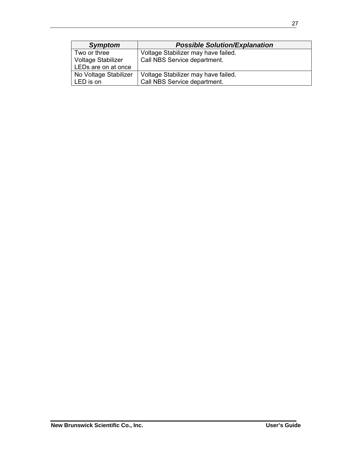| <b>Symptom</b>        | <b>Possible Solution/Explanation</b> |
|-----------------------|--------------------------------------|
| Two or three          | Voltage Stabilizer may have failed.  |
| Voltage Stabilizer    | Call NBS Service department.         |
| LEDs are on at once   |                                      |
| No Voltage Stabilizer | Voltage Stabilizer may have failed.  |
| LED is on             | Call NBS Service department.         |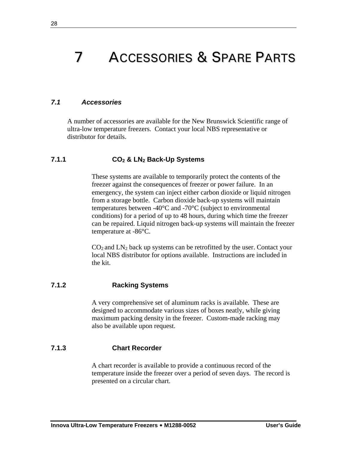## 7 ACCESSORIES & SPARE PARTS

#### *7.1 Accessories*

A number of accessories are available for the New Brunswick Scientific range of ultra-low temperature freezers. Contact your local NBS representative or distributor for details.

#### **7.1.1 CO2 & LN2 Back-Up Systems**

These systems are available to temporarily protect the contents of the freezer against the consequences of freezer or power failure. In an emergency, the system can inject either carbon dioxide or liquid nitrogen from a storage bottle. Carbon dioxide back-up systems will maintain temperatures between -40°C and -70°C (subject to environmental conditions) for a period of up to 48 hours, during which time the freezer can be repaired. Liquid nitrogen back-up systems will maintain the freezer temperature at -86°C.

 $CO<sub>2</sub>$  and  $LN<sub>2</sub>$  back up systems can be retrofitted by the user. Contact your local NBS distributor for options available. Instructions are included in the kit.

#### **7.1.2 Racking Systems**

A very comprehensive set of aluminum racks is available. These are designed to accommodate various sizes of boxes neatly, while giving maximum packing density in the freezer. Custom-made racking may also be available upon request.

#### **7.1.3 Chart Recorder**

A chart recorder is available to provide a continuous record of the temperature inside the freezer over a period of seven days. The record is presented on a circular chart.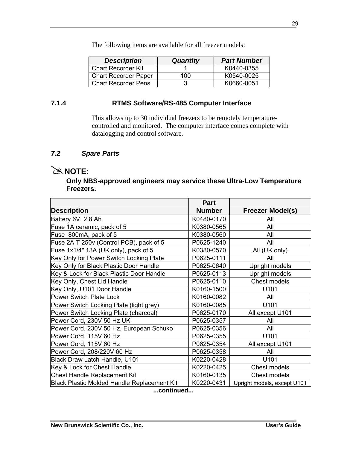The following items are available for all freezer models:

| <b>Description</b>          | <b>Quantity</b> | <b>Part Number</b> |
|-----------------------------|-----------------|--------------------|
| <b>Chart Recorder Kit</b>   |                 | K0440-0355         |
| <b>Chart Recorder Paper</b> | 100             | K0540-0025         |
| <b>Chart Recorder Pens</b>  | З               | K0660-0051         |

#### **7.1.4 RTMS Software/RS-485 Computer Interface**

This allows up to 30 individual freezers to be remotely temperaturecontrolled and monitored. The computer interface comes complete with datalogging and control software.

#### *7.2 Spare Parts*

## $\approx$  **NOTE:**

**Only NBS-approved engineers may service these Ultra-Low Temperature Freezers.** 

|                                                    | <b>Part</b>   |                             |
|----------------------------------------------------|---------------|-----------------------------|
| <b>Description</b>                                 | <b>Number</b> | <b>Freezer Model(s)</b>     |
| Battery 6V, 2.8 Ah                                 | K0480-0170    | All                         |
| Fuse 1A ceramic, pack of 5                         | K0380-0565    | All                         |
| Fuse 800mA, pack of 5                              | K0380-0560    | All                         |
| Fuse 2A T 250v (Control PCB), pack of 5            | P0625-1240    | All                         |
| Fuse 1x1/4" 13A (UK only), pack of 5               | K0380-0570    | All (UK only)               |
| Key Only for Power Switch Locking Plate            | P0625-0111    | All                         |
| Key Only for Black Plastic Door Handle             | P0625-0640    | Upright models              |
| Key & Lock for Black Plastic Door Handle           | P0625-0113    | Upright models              |
| Key Only, Chest Lid Handle                         | P0625-0110    | Chest models                |
| Key Only, U101 Door Handle                         | K0160-1500    | U101                        |
| <b>Power Switch Plate Lock</b>                     | K0160-0082    | All                         |
| Power Switch Locking Plate (light grey)            | K0160-0085    | U101                        |
| Power Switch Locking Plate (charcoal)              | P0625-0170    | All except U101             |
| Power Cord, 230V 50 Hz UK                          | P0625-0357    | All                         |
| Power Cord, 230V 50 Hz, European Schuko            | P0625-0356    | All                         |
| Power Cord, 115V 60 Hz                             | P0625-0355    | U <sub>101</sub>            |
| Power Cord, 115V 60 Hz                             | P0625-0354    | All except U101             |
| Power Cord, 208/220V 60 Hz                         | P0625-0358    | All                         |
| Black Draw Latch Handle, U101                      | K0220-0428    | U101                        |
| Key & Lock for Chest Handle                        | K0220-0425    | Chest models                |
| <b>Chest Handle Replacement Kit</b>                | K0160-0135    | Chest models                |
| <b>Black Plastic Molded Handle Replacement Kit</b> | K0220-0431    | Upright models, except U101 |

**...continued...**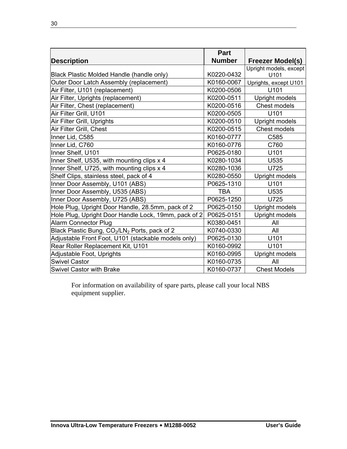|                                                                       | <b>Part</b>   |                         |
|-----------------------------------------------------------------------|---------------|-------------------------|
| <b>Description</b>                                                    | <b>Number</b> | <b>Freezer Model(s)</b> |
|                                                                       |               | Upright models, except  |
| Black Plastic Molded Handle (handle only)                             | K0220-0432    | U101                    |
| Outer Door Latch Assembly (replacement)                               | K0160-0067    | Uprights, except U101   |
| Air Filter, U101 (replacement)                                        | K0200-0506    | U101                    |
| Air Filter, Uprights (replacement)                                    | K0200-0511    | Upright models          |
| Air Filter, Chest (replacement)                                       | K0200-0516    | Chest models            |
| Air Filter Grill, U101                                                | K0200-0505    | U101                    |
| Air Filter Grill, Uprights                                            | K0200-0510    | <b>Upright models</b>   |
| Air Filter Grill, Chest                                               | K0200-0515    | Chest models            |
| Inner Lid, C585                                                       | K0160-0777    | C585                    |
| Inner Lid, C760                                                       | K0160-0776    | C760                    |
| Inner Shelf, U101                                                     | P0625-0180    | U101                    |
| Inner Shelf, U535, with mounting clips x 4                            | K0280-1034    | U535                    |
| Inner Shelf, U725, with mounting clips x 4                            | K0280-1036    | U725                    |
| Shelf Clips, stainless steel, pack of 4                               | K0280-0550    | Upright models          |
| Inner Door Assembly, U101 (ABS)                                       | P0625-1310    | U101                    |
| Inner Door Assembly, U535 (ABS)                                       | <b>TBA</b>    | U535                    |
| Inner Door Assembly, U725 (ABS)                                       | P0625-1250    | U725                    |
| Hole Plug, Upright Door Handle, 28.5mm, pack of 2                     | P0625-0150    | Upright models          |
| Hole Plug, Upright Door Handle Lock, 19mm, pack of 2                  | P0625-0151    | Upright models          |
| <b>Alarm Connector Plug</b>                                           | K0380-0451    | All                     |
| Black Plastic Bung, CO <sub>2</sub> /LN <sub>2</sub> Ports, pack of 2 | K0740-0330    | All                     |
| Adjustable Front Foot, U101 (stackable models only)                   | P0625-0130    | U101                    |
| Rear Roller Replacement Kit, U101                                     | K0160-0992    | U101                    |
| Adjustable Foot, Uprights                                             | K0160-0995    | Upright models          |
| <b>Swivel Castor</b>                                                  | K0160-0735    | All                     |
| <b>Swivel Castor with Brake</b>                                       | K0160-0737    | <b>Chest Models</b>     |

For information on availability of spare parts, please call your local NBS equipment supplier.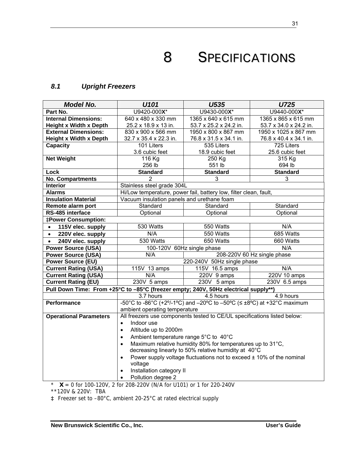8 SPECIFICATIONS

#### *8.1 Upright Freezers*

| <b>Model No.</b>                                                                    | U101                                                                                  | U535                                                                             | U725                        |  |
|-------------------------------------------------------------------------------------|---------------------------------------------------------------------------------------|----------------------------------------------------------------------------------|-----------------------------|--|
| Part No.                                                                            | U9420-000X*                                                                           | U9430-000X*                                                                      | U9440-000X*                 |  |
| <b>Internal Dimensions:</b>                                                         | 640 x 480 x 330 mm                                                                    | 1365 x 640 x 615 mm                                                              | 1365 x 865 x 615 mm         |  |
| <b>Height x Width x Depth</b>                                                       | 25.2 x 18.9 x 13 in.                                                                  | 53.7 x 25.2 x 24.2 in.                                                           | 53.7 x 34.0 x 24.2 in.      |  |
| <b>External Dimensions:</b>                                                         | 830 x 900 x 566 mm                                                                    | 1950 x 800 x 867 mm                                                              | 1950 x 1025 x 867 mm        |  |
| <b>Height x Width x Depth</b>                                                       | 32.7 x 35.4 x 22.3 in.                                                                | 76.8 x 31.5 x 34.1 in.                                                           | 76.8 x 40.4 x 34.1 in.      |  |
| Capacity                                                                            | $\overline{10}1$ Liters                                                               | 535 Liters                                                                       | 725 Liters                  |  |
|                                                                                     | 3.6 cubic feet                                                                        | 18.9 cubic feet                                                                  | 25.6 cubic feet             |  |
| <b>Net Weight</b>                                                                   | 116 Kg                                                                                | 250 Kg                                                                           | 315 Kg                      |  |
|                                                                                     | 256 lb                                                                                | 551 lb                                                                           | 694 lb                      |  |
| Lock                                                                                | <b>Standard</b>                                                                       | <b>Standard</b>                                                                  | <b>Standard</b>             |  |
| <b>No. Compartments</b>                                                             | $\mathcal{P}$                                                                         | 3                                                                                | 3                           |  |
| <b>Interior</b>                                                                     | Stainless steel grade 304L                                                            |                                                                                  |                             |  |
| <b>Alarms</b>                                                                       |                                                                                       | Hi/Low temperature, power fail, battery low, filter clean, fault,                |                             |  |
| <b>Insulation Material</b>                                                          | Vacuum insulation panels and urethane foam                                            |                                                                                  |                             |  |
| Remote alarm port                                                                   | Standard                                                                              | Standard                                                                         | Standard                    |  |
| RS-485 interface                                                                    | Optional<br>Optional<br>Optional                                                      |                                                                                  |                             |  |
| <b>‡Power Consumption:</b>                                                          |                                                                                       |                                                                                  |                             |  |
| 115V elec. supply<br>$\bullet$                                                      | 530 Watts                                                                             | 550 Watts                                                                        | N/A                         |  |
| 220V elec. supply<br>$\bullet$                                                      | N/A                                                                                   | 550 Watts                                                                        | 685 Watts                   |  |
| 240V elec. supply<br>$\bullet$                                                      | 530 Watts                                                                             | 650 Watts                                                                        | 660 Watts                   |  |
| <b>Power Source (USA)</b>                                                           | 100-120V                                                                              | 60Hz single phase                                                                | N/A                         |  |
| <b>Power Source (USA)</b>                                                           | N/A                                                                                   |                                                                                  | 208-220V 60 Hz single phase |  |
| <b>Power Source (EU)</b>                                                            |                                                                                       | 220-240V 50Hz single phase                                                       |                             |  |
| <b>Current Rating (USA)</b>                                                         | 115V 13 amps                                                                          | 115V 16.5 amps                                                                   | N/A                         |  |
| <b>Current Rating (USA)</b>                                                         | N/A                                                                                   | 220V 9 amps                                                                      | 220V 10 amps                |  |
| <b>Current Rating (EU)</b>                                                          | 230V 5 amps                                                                           | $\overline{230}V$ 5 amps                                                         | 230V 6.5 amps               |  |
| Pull Down Time: From +25°C to -85°C (freezer empty; 240V, 50Hz electrical supply**) |                                                                                       |                                                                                  |                             |  |
|                                                                                     | 3.7 hours                                                                             | 4.5 hours                                                                        | 4.9 hours                   |  |
| <b>Performance</b>                                                                  |                                                                                       | -50°C to -86°C (+2°/-1°C) and -20°C to -50°C ( $\leq \pm 8$ °C) at +32°C maximum |                             |  |
|                                                                                     | ambient operating temperature                                                         |                                                                                  |                             |  |
| <b>Operational Parameters</b>                                                       |                                                                                       | All freezers use components tested to CE/UL specifications listed below:         |                             |  |
|                                                                                     | Indoor use<br>$\bullet$                                                               |                                                                                  |                             |  |
|                                                                                     | Altitude up to 2000m<br>$\bullet$                                                     |                                                                                  |                             |  |
|                                                                                     | Ambient temperature range 5°C to 40°C<br>$\bullet$                                    |                                                                                  |                             |  |
|                                                                                     | $\bullet$                                                                             | Maximum relative humidity 80% for temperatures up to 31°C,                       |                             |  |
|                                                                                     | decreasing linearly to 50% relative humidity at 40°C                                  |                                                                                  |                             |  |
|                                                                                     | Power supply voltage fluctuations not to exceed $\pm$ 10% of the nominal<br>$\bullet$ |                                                                                  |                             |  |
|                                                                                     | voltage                                                                               |                                                                                  |                             |  |
|                                                                                     | Installation category II<br>$\bullet$                                                 |                                                                                  |                             |  |
| 100.1001<br>$\sim$                                                                  | Pollution degree 2<br>$\bullet$<br>200 2201 (NIA 5 - 11404) - 4 5 - 220 2401/         |                                                                                  |                             |  |

\* **X** = 0 for 100-120V, 2 for 208-220V (N/A for U101) or 1 for 220-240V

\*\*120V & 220V: TBA

**‡** Freezer set to –80°C, ambient 20-25°C at rated electrical supply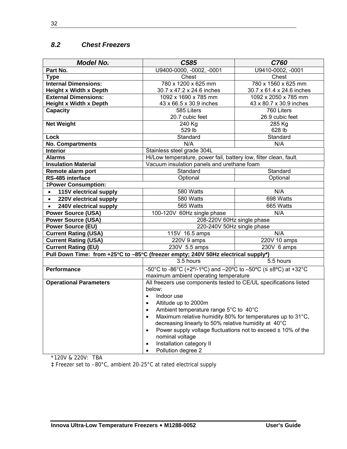#### *8.2 Chest Freezers*

| <b>Model No.</b>                                                                  | C585                                                                     | C760                      |  |  |  |
|-----------------------------------------------------------------------------------|--------------------------------------------------------------------------|---------------------------|--|--|--|
| Part No.                                                                          | U9400-0000, -0002, -0001                                                 | U9410-0002, -0001         |  |  |  |
| <b>Type</b>                                                                       | Chest                                                                    | Chest                     |  |  |  |
| <b>Internal Dimensions:</b>                                                       | 780 x 1200 x 625 mm                                                      | 780 x 1560 x 625 mm       |  |  |  |
| <b>Height x Width x Depth</b>                                                     | 30.7 x 47.2 x 24.6 inches                                                | 30.7 x 61.4 x 24.6 inches |  |  |  |
| <b>External Dimensions:</b>                                                       | 1092 x 1690 x 785 mm                                                     | 1092 x 2050 x 785 mm      |  |  |  |
| <b>Height x Width x Depth</b>                                                     | 43 x 66.5 x 30.9 inches                                                  | 43 x 80.7 x 30.9 inches   |  |  |  |
| <b>Capacity</b>                                                                   | 585 Liters                                                               | 760 Liters                |  |  |  |
|                                                                                   | 20.7 cubic feet                                                          | 26.9 cubic feet           |  |  |  |
| <b>Net Weight</b>                                                                 | 240 Kg                                                                   | 285 Kg                    |  |  |  |
|                                                                                   | 529 lb                                                                   | 628 lb                    |  |  |  |
| Lock                                                                              | Standard                                                                 | Standard                  |  |  |  |
| <b>No. Compartments</b>                                                           | N/A                                                                      | N/A                       |  |  |  |
| <b>Interior</b>                                                                   | Stainless steel grade 304L                                               |                           |  |  |  |
| <b>Alarms</b>                                                                     | Hi/Low temperature, power fail, battery low, filter clean, fault.        |                           |  |  |  |
| <b>Insulation Material</b>                                                        | Vacuum insulation panels and urethane foam                               |                           |  |  |  |
| Remote alarm port                                                                 | Standard                                                                 | Standard                  |  |  |  |
| RS-485 interface                                                                  | Optional                                                                 | Optional                  |  |  |  |
| <b>‡Power Consumption:</b>                                                        |                                                                          |                           |  |  |  |
| 115V electrical supply<br>$\bullet$                                               | 580 Watts                                                                | N/A                       |  |  |  |
| 220V electrical supply<br>$\bullet$                                               | 580 Watts                                                                | 698 Watts                 |  |  |  |
| 240V electrical supply<br>$\bullet$                                               | 565 Watts                                                                | 665 Watts                 |  |  |  |
| <b>Power Source (USA)</b>                                                         | 100-120V 60Hz single phase                                               | N/A                       |  |  |  |
| <b>Power Source (USA)</b>                                                         | 208-220V 60Hz single phase                                               |                           |  |  |  |
| <b>Power Source (EU)</b>                                                          | 220-240V 50Hz single phase                                               |                           |  |  |  |
| <b>Current Rating (USA)</b>                                                       | 115V 16.5 amps                                                           | N/A                       |  |  |  |
| <b>Current Rating (USA)</b>                                                       | 220V 9 amps                                                              | 220V 10 amps              |  |  |  |
| <b>Current Rating (EU)</b>                                                        | 230V 5.5 amps<br>230V 6 amps                                             |                           |  |  |  |
| Pull Down Time: from +25°C to -85°C (freezer empty; 240V 50Hz electrical supply*) |                                                                          |                           |  |  |  |
|                                                                                   | 3.5 hours                                                                | 5.5 hours                 |  |  |  |
| <b>Performance</b>                                                                | -50°C to -86°C (+2°/-1°C) and -20°C to -50°C ( $\leq \pm 8$ °C) at +32°C |                           |  |  |  |
|                                                                                   | maximum ambient operating temperature                                    |                           |  |  |  |
| <b>Operational Parameters</b>                                                     | All freezers use components tested to CE/UL specifications listed        |                           |  |  |  |
|                                                                                   | below:                                                                   |                           |  |  |  |
|                                                                                   | Indoor use<br>$\bullet$                                                  |                           |  |  |  |
|                                                                                   | Altitude up to 2000m<br>$\bullet$                                        |                           |  |  |  |
|                                                                                   | Ambient temperature range 5°C to 40°C<br>$\bullet$                       |                           |  |  |  |
|                                                                                   | Maximum relative humidity 80% for temperatures up to 31°C,<br>$\bullet$  |                           |  |  |  |
|                                                                                   | decreasing linearly to 50% relative humidity at 40°C                     |                           |  |  |  |
|                                                                                   | Power supply voltage fluctuations not to exceed $\pm$ 10% of the         |                           |  |  |  |
|                                                                                   | nominal voltage                                                          |                           |  |  |  |
|                                                                                   | Installation category II<br>$\bullet$                                    |                           |  |  |  |
|                                                                                   | Pollution degree 2                                                       |                           |  |  |  |

\*120V & 220V: TBA

**‡** Freezer set to –80°C, ambient 20-25°C at rated electrical supply

32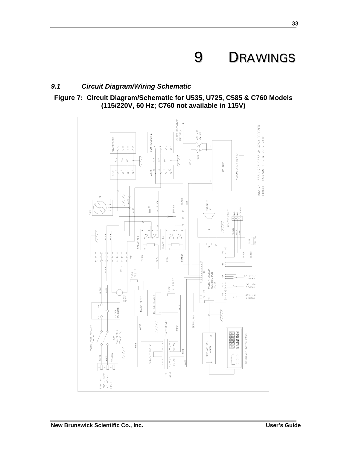## 9 DRAWINGS

#### *9.1 Circuit Diagram/Wiring Schematic*



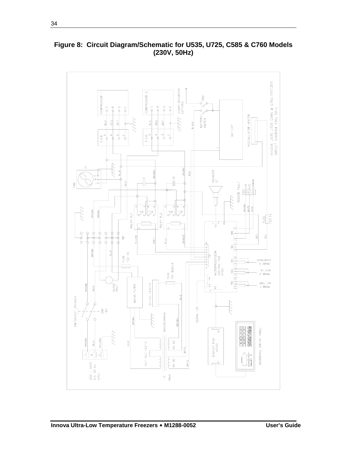

**Figure 8: Circuit Diagram/Schematic for U535, U725, C585 & C760 Models (230V, 50Hz)**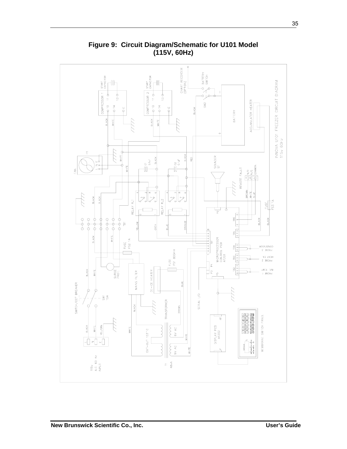

**Figure 9: Circuit Diagram/Schematic for U101 Model (115V, 60Hz)**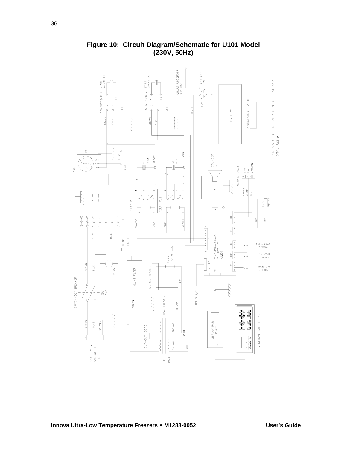

**Figure 10: Circuit Diagram/Schematic for U101 Model (230V, 50Hz)**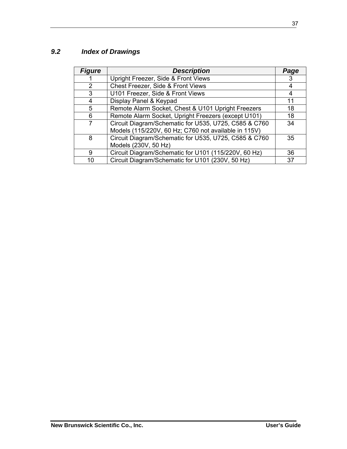## *9.2 Index of Drawings*

| <b>Figure</b> | <b>Description</b>                                    | Page |
|---------------|-------------------------------------------------------|------|
|               | Upright Freezer, Side & Front Views                   | 3    |
| 2             | Chest Freezer, Side & Front Views                     | 4    |
| 3             | U101 Freezer, Side & Front Views                      | 4    |
| 4             | Display Panel & Keypad                                | 11   |
| 5             | Remote Alarm Socket, Chest & U101 Upright Freezers    | 18   |
| 6             | Remote Alarm Socket, Upright Freezers (except U101)   | 18   |
| 7             | Circuit Diagram/Schematic for U535, U725, C585 & C760 | 34   |
|               | Models (115/220V, 60 Hz; C760 not available in 115V)  |      |
| 8             | Circuit Diagram/Schematic for U535, U725, C585 & C760 | 35   |
|               | Models (230V, 50 Hz)                                  |      |
| 9             | Circuit Diagram/Schematic for U101 (115/220V, 60 Hz)  | 36   |
| 10            | Circuit Diagram/Schematic for U101 (230V, 50 Hz)      | 37   |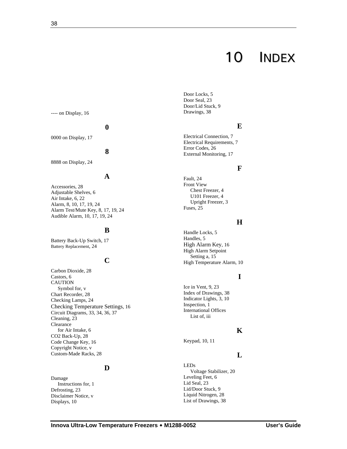## 10 INDEX

---- on Display, 16

#### **0**

0000 on Display, 17

#### **8**

8888 on Display, 24

#### **A**

Accessories, 28 Adjustable Shelves, 6 Air Intake, 6, 22 Alarm, 8, 10, 17, 19, 24 Alarm Test/Mute Key, 8, 17, 19, 24 Audible Alarm, 10, 17, 19, 24

#### **B**

Battery Back-Up Switch, 17 Battery Replacement, 24

#### **C**

Carbon Dioxide, 28 Castors, 6 CAUTION Symbol for, v Chart Recorder, 28 Checking Lamps, 24 Checking Temperature Settings, 16 Circuit Diagrams, 33, 34, 36, 37 Cleaning, 23 Clearance for Air Intake, 6 CO2 Back-Up, 28 Code Change Key, 16 Copyright Notice, v Custom-Made Racks, 28

#### **D**

Damage Instructions for, 1 Defrosting, 23 Disclaimer Notice, v Displays, 10

Door Locks, 5 Door Seal, 23 Door/Lid Stuck, 9 Drawings, 38

#### **E**

Electrical Connection, 7 Electrical Requirements, 7 Error Codes, 26 External Monitoring, 17

#### **F**

Fault, 24 Front View Chest Freezer, 4 U101 Freezer, 4 Upright Freezer, 3 Fuses, 25

#### **H**

Handle Locks, 5 Handles, 5 High Alarm Key, 16 High Alarm Setpoint Setting a, 15 High Temperature Alarm, 10

#### **I**

Ice in Vent, 9, 23 Index of Drawings, 38 Indicator Lights, 3, 10 Inspection, 1 International Offices List of, iii

#### **K**

Keypad, 10, 11

#### **L**

LEDs Voltage Stabilizer, 20 Leveling Feet, 6 Lid Seal, 23 Lid/Door Stuck, 9 Liquid Nitrogen, 28 List of Drawings, 38